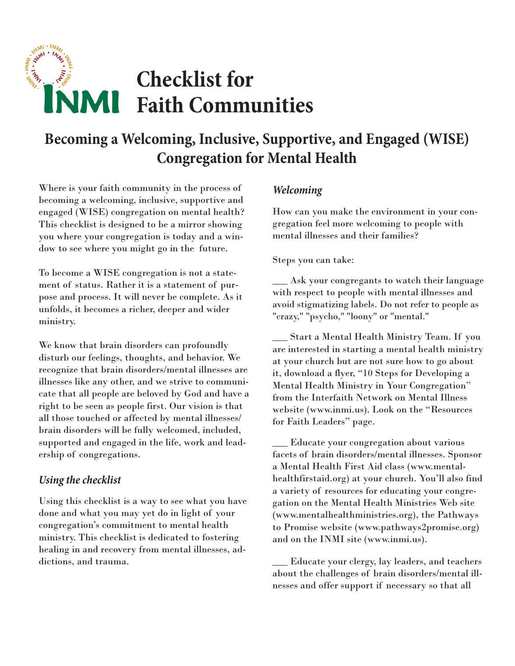# **MANY** - INA **MARITARY MARKANI Checklist for NMI Faith Communities**

# **Becoming a Welcoming, Inclusive, Supportive, and Engaged (WISE) Congregation for Mental Health**

Where is your faith community in the process of becoming a welcoming, inclusive, supportive and engaged (WISE) congregation on mental health? This checklist is designed to be a mirror showing you where your congregation is today and a window to see where you might go in the future.

To become a WISE congregation is not a statement of status. Rather it is a statement of purpose and process. It will never be complete. As it unfolds, it becomes a richer, deeper and wider ministry.

We know that brain disorders can profoundly disturb our feelings, thoughts, and behavior. We recognize that brain disorders/mental illnesses are illnesses like any other, and we strive to communicate that all people are beloved by God and have a right to be seen as people first. Our vision is that all those touched or affected by mental illnesses/ brain disorders will be fully welcomed, included, supported and engaged in the life, work and leadership of congregations.

### *Using the checklist*

Using this checklist is a way to see what you have done and what you may yet do in light of your congregation's commitment to mental health ministry. This checklist is dedicated to fostering healing in and recovery from mental illnesses, addictions, and trauma.

### *Welcoming*

How can you make the environment in your congregation feel more welcoming to people with mental illnesses and their families?

Steps you can take:

\_\_\_ Ask your congregants to watch their language with respect to people with mental illnesses and avoid stigmatizing labels. Do not refer to people as "crazy," "psycho," "loony" or "mental."

 \_\_\_ Start a Mental Health Ministry Team. If you are interested in starting a mental health ministry at your church but are not sure how to go about it, download a flyer, "10 Steps for Developing a Mental Health Ministry in Your Congregation" from the Interfaith Network on Mental Illness website (www.inmi.us). Look on the "Resources for Faith Leaders" page.

\_\_\_ Educate your congregation about various facets of brain disorders/mental illnesses. Sponsor a Mental Health First Aid class (www.mentalhealthfirstaid.org) at your church. You'll also find a variety of resources for educating your congregation on the Mental Health Ministries Web site (www.mentalhealthministries.org), the Pathways to Promise website (www.pathways2promise.org) and on the INMI site (www.inmi.us).

\_\_\_ Educate your clergy, lay leaders, and teachers about the challenges of brain disorders/mental illnesses and offer support if necessary so that all